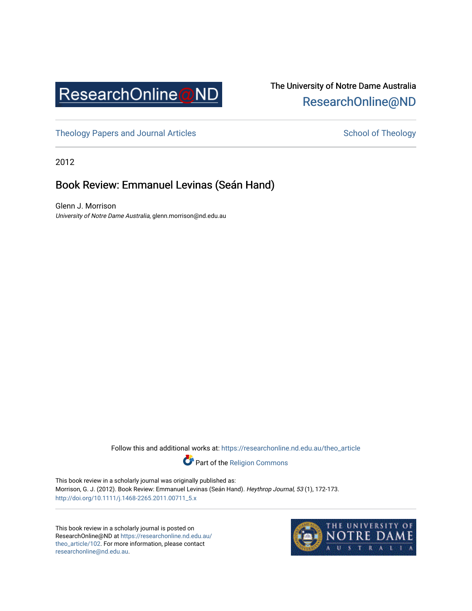

## The University of Notre Dame Australia [ResearchOnline@ND](https://researchonline.nd.edu.au/)

[Theology Papers and Journal Articles](https://researchonline.nd.edu.au/theo_article) and [School of Theology](https://researchonline.nd.edu.au/theo) School of Theology

2012

## Book Review: Emmanuel Levinas (Seán Hand)

Glenn J. Morrison University of Notre Dame Australia, glenn.morrison@nd.edu.au

Follow this and additional works at: [https://researchonline.nd.edu.au/theo\\_article](https://researchonline.nd.edu.au/theo_article?utm_source=researchonline.nd.edu.au%2Ftheo_article%2F102&utm_medium=PDF&utm_campaign=PDFCoverPages) 

Part of the [Religion Commons](http://network.bepress.com/hgg/discipline/538?utm_source=researchonline.nd.edu.au%2Ftheo_article%2F102&utm_medium=PDF&utm_campaign=PDFCoverPages) 

This book review in a scholarly journal was originally published as: Morrison, G. J. (2012). Book Review: Emmanuel Levinas (Seán Hand). Heythrop Journal, 53 (1), 172-173. [http://doi.org/10.1111/j.1468-2265.2011.00711\\_5.x](http://doi.org/10.1111/j.1468-2265.2011.00711_5.x)

This book review in a scholarly journal is posted on ResearchOnline@ND at [https://researchonline.nd.edu.au/](https://researchonline.nd.edu.au/theo_article/102) [theo\\_article/102](https://researchonline.nd.edu.au/theo_article/102). For more information, please contact [researchonline@nd.edu.au.](mailto:researchonline@nd.edu.au)

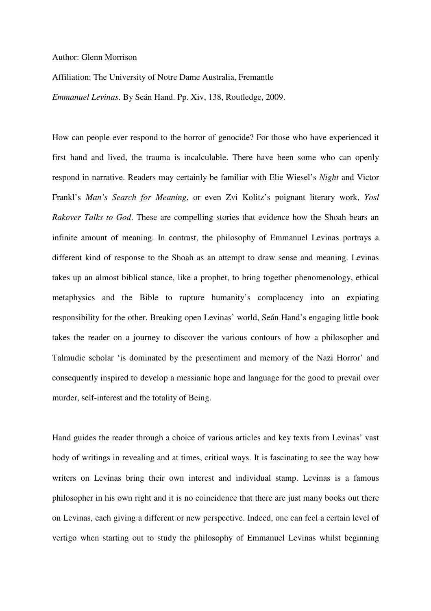Author: Glenn Morrison

Affiliation: The University of Notre Dame Australia, Fremantle

*Emmanuel Levinas*. By Seán Hand. Pp. Xiv, 138, Routledge, 2009.

How can people ever respond to the horror of genocide? For those who have experienced it first hand and lived, the trauma is incalculable. There have been some who can openly respond in narrative. Readers may certainly be familiar with Elie Wiesel's *Night* and Victor Frankl's *Man's Search for Meaning*, or even Zvi Kolitz's poignant literary work, *Yosl Rakover Talks to God*. These are compelling stories that evidence how the Shoah bears an infinite amount of meaning. In contrast, the philosophy of Emmanuel Levinas portrays a different kind of response to the Shoah as an attempt to draw sense and meaning. Levinas takes up an almost biblical stance, like a prophet, to bring together phenomenology, ethical metaphysics and the Bible to rupture humanity's complacency into an expiating responsibility for the other. Breaking open Levinas' world, Seán Hand's engaging little book takes the reader on a journey to discover the various contours of how a philosopher and Talmudic scholar 'is dominated by the presentiment and memory of the Nazi Horror' and consequently inspired to develop a messianic hope and language for the good to prevail over murder, self-interest and the totality of Being.

Hand guides the reader through a choice of various articles and key texts from Levinas' vast body of writings in revealing and at times, critical ways. It is fascinating to see the way how writers on Levinas bring their own interest and individual stamp. Levinas is a famous philosopher in his own right and it is no coincidence that there are just many books out there on Levinas, each giving a different or new perspective. Indeed, one can feel a certain level of vertigo when starting out to study the philosophy of Emmanuel Levinas whilst beginning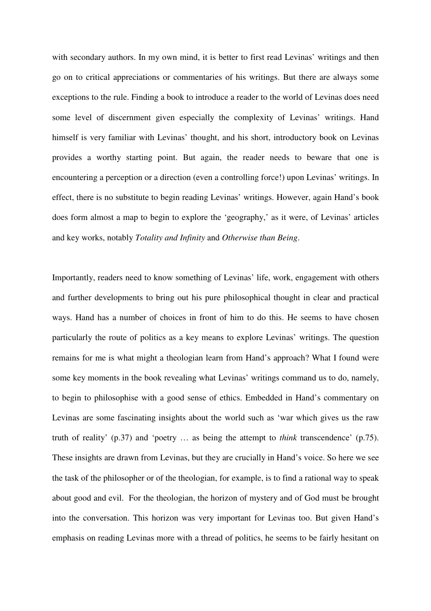with secondary authors. In my own mind, it is better to first read Levinas' writings and then go on to critical appreciations or commentaries of his writings. But there are always some exceptions to the rule. Finding a book to introduce a reader to the world of Levinas does need some level of discernment given especially the complexity of Levinas' writings. Hand himself is very familiar with Levinas' thought, and his short, introductory book on Levinas provides a worthy starting point. But again, the reader needs to beware that one is encountering a perception or a direction (even a controlling force!) upon Levinas' writings. In effect, there is no substitute to begin reading Levinas' writings. However, again Hand's book does form almost a map to begin to explore the 'geography,' as it were, of Levinas' articles and key works, notably *Totality and Infinity* and *Otherwise than Being*.

Importantly, readers need to know something of Levinas' life, work, engagement with others and further developments to bring out his pure philosophical thought in clear and practical ways. Hand has a number of choices in front of him to do this. He seems to have chosen particularly the route of politics as a key means to explore Levinas' writings. The question remains for me is what might a theologian learn from Hand's approach? What I found were some key moments in the book revealing what Levinas' writings command us to do, namely, to begin to philosophise with a good sense of ethics. Embedded in Hand's commentary on Levinas are some fascinating insights about the world such as 'war which gives us the raw truth of reality' (p.37) and 'poetry … as being the attempt to *think* transcendence' (p.75). These insights are drawn from Levinas, but they are crucially in Hand's voice. So here we see the task of the philosopher or of the theologian, for example, is to find a rational way to speak about good and evil. For the theologian, the horizon of mystery and of God must be brought into the conversation. This horizon was very important for Levinas too. But given Hand's emphasis on reading Levinas more with a thread of politics, he seems to be fairly hesitant on